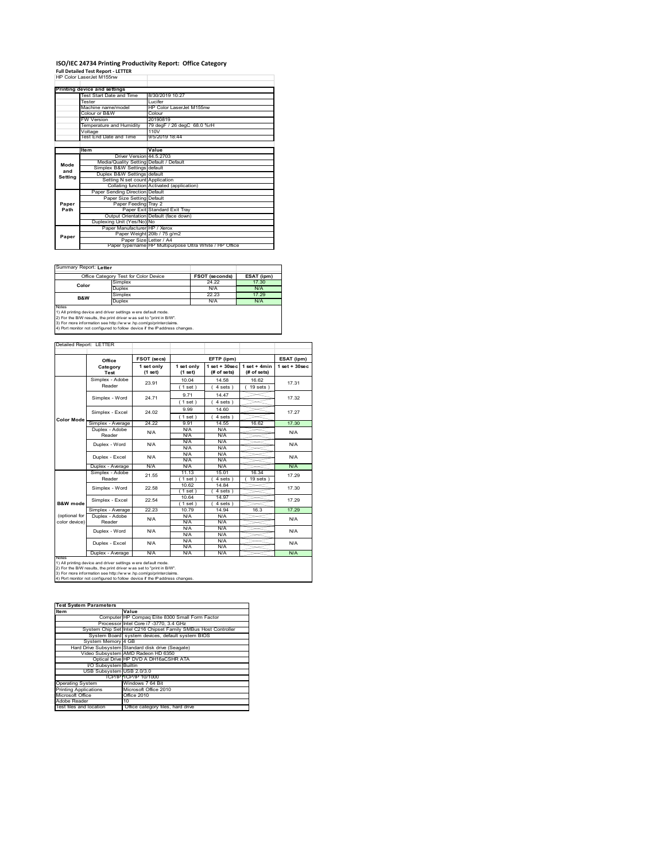# **ISO/IEC 24734 Printing Productivity Report: Office Category Full Detailed Test Report ‐ LETTER** HP Color LaserJet M155nw

|         | HP Color LaserJet M155nw                |                                                         |
|---------|-----------------------------------------|---------------------------------------------------------|
|         |                                         |                                                         |
|         | Printing device and settings            |                                                         |
|         | Test Start Date and Time                | 8/30/2019 10:27                                         |
|         | Tester                                  | Lucifer                                                 |
|         | Machine name/model                      | HP Color Laser let M155nw                               |
|         | Colour or B&W                           | Colour                                                  |
|         | <b>FW Version</b>                       | 20190819                                                |
|         | Temperature and Humidity                | 79 degF / 26 degC 68.0 %rH                              |
|         | Voltage                                 | 110V                                                    |
|         | Test End Date and Time                  | 9/5/2019 18:44                                          |
|         |                                         |                                                         |
|         | Item                                    | Value                                                   |
|         | Driver Version 44 5 2703                |                                                         |
| Mode    | Media/Quality Setting Default / Default |                                                         |
| and     | Simplex B&W Settings default            |                                                         |
| Setting | Duplex B&W Settings default             |                                                         |
|         | Setting N set count Application         |                                                         |
|         |                                         | Collating function Activated (application)              |
|         | Paper Sending Direction Default         |                                                         |
|         | Paper Size Setting Default              |                                                         |
| Paper   | Paper Feeding Tray 2                    |                                                         |
| Path    |                                         | Paper Exit Standard Exit Tray                           |
|         |                                         | Output Orientation Default (face down)                  |
|         | Duplexing Unit (Yes/No) No              |                                                         |
|         | Paper Manufacturer HP / Xerox           |                                                         |
| Paper   |                                         | Paper Weight 20lb / 75 g/m2                             |
|         | Paper Size Letter / A4                  |                                                         |
|         |                                         | Paper type/name HP Multipurpose Ultra White / HP Office |

Summary Report: **Letter**

|                                                                                                                                                                                                                                                                                                 | Office Category Test for Color Device | <b>FSOT (seconds)</b> | ESAT (ipm) |  |  |
|-------------------------------------------------------------------------------------------------------------------------------------------------------------------------------------------------------------------------------------------------------------------------------------------------|---------------------------------------|-----------------------|------------|--|--|
| Color                                                                                                                                                                                                                                                                                           | Simplex                               | 24.22                 | 17.30      |  |  |
|                                                                                                                                                                                                                                                                                                 | Duplex                                | N/A                   | N/A        |  |  |
|                                                                                                                                                                                                                                                                                                 | Simplex                               | 22.23                 | 17 29      |  |  |
| <b>B&amp;W</b>                                                                                                                                                                                                                                                                                  | Duplex                                | N/A                   |            |  |  |
| Notes<br>1) All printing device and driver settings w ere default mode.<br>2) For the B/W results, the print driver was set to "print in B/W".<br>3) For more information see http://www.hp.com/go/printerclaims.<br>4) Port monitor not configured to follow device if the IP address changes. |                                       |                       |            |  |  |
|                                                                                                                                                                                                                                                                                                 |                                       |                       |            |  |  |

 $\overline{\phantom{a}}$ 

| Detailed Report: LETTER        |                           |                       |                       |                                  |                               |                    |
|--------------------------------|---------------------------|-----------------------|-----------------------|----------------------------------|-------------------------------|--------------------|
|                                | Office                    | FSOT (secs)           |                       | EFTP (ipm)                       |                               | ESAT (ipm)         |
|                                | Category<br>Test          | 1 set only<br>(1 set) | 1 set only<br>(1 set) | $1$ set $+30$ sec<br>(# of sets) | $1$ set + 4min<br>(# of sets) | $1$ set + $30$ sec |
|                                | Simplex - Adobe<br>Reader | 23.91                 | 10.04<br>(1 set)      | 14.58<br>$4 sets$ )              | 16.62<br>$19$ sets $)$        | 17.31              |
|                                | Simplex - Word            | 24.71                 | 9.71<br>1 set)        | 14.47<br>4 sets)                 |                               | 17.32              |
| <b>Color Mode</b>              | Simplex - Excel           | 24.02                 | 9.99<br>$1$ set $)$   | 14.60<br>$4 sets$ )              |                               | 17.27              |
|                                | Simplex - Average         | 24 22                 | 9.91                  | 14.55                            | 16.62                         | 17.30              |
|                                | Duplex - Adobe<br>Reader  | N/A                   | N/A<br>N/A            | N/A<br>N/A                       |                               | N/A                |
|                                | Duplex - Word             | N/A                   | N/A<br>N/A            | N/A<br>N/A                       |                               | N/A                |
|                                | Duplex - Excel            | N/A                   | N/A<br>N/A            | N/A<br>N/A                       |                               | N/A                |
|                                | Duplex - Average          | N/A                   | N/A                   | N/A                              |                               | N/A                |
|                                | Simplex - Adobe<br>Reader | 21.55                 | 11.13<br>$1$ set)     | 15.01<br>4 sets 1                | 16.34<br>19 sets              | 17.29              |
|                                | Simplex - Word            | 22.58                 | 10.62<br>(1 set)      | 14 84<br>4 sets)                 |                               | 17.30              |
| B&W mode                       | Simplex - Excel           | 22.54                 | 10.64<br>$1$ set)     | 14.97<br>4 sets)                 |                               | 17.29              |
|                                | Simplex - Average         | 22.23                 | 10.79                 | 14.94                            | 16.3                          | 17.29              |
| (optional for<br>color device) | Duplex - Adobe<br>Reader  | N/A                   | N/A<br>N/A            | N/A<br>N/A                       |                               | N/A                |
|                                | Duplex - Word             | N/A                   | N/A<br>N/A            | N/A<br>N/A                       |                               | N/A                |
|                                | Duplex - Excel            | N/A                   | N/A<br>N/A            | N/A<br>N/A                       |                               | N/A                |
| <b>NOTAS</b>                   | Duplex - Average          | N/A                   | N/A                   | N/A                              |                               | N/A                |

notes<br>1) All printing device and driver settings were default mode.<br>2) For the B/W results, the print driver was set to "print in B/W".<br>3) For more information see http://www.hp.com/go/printerclaims.<br>4) Por morator not con

| <b>Test System Parameters</b> |                                                                 |  |  |  |
|-------------------------------|-----------------------------------------------------------------|--|--|--|
| <b>Item</b>                   | Value                                                           |  |  |  |
|                               | Computer HP Compag Elite 8300 Small Form Factor                 |  |  |  |
|                               | Processor Intel Core i7 -3770, 3.4 GHz                          |  |  |  |
|                               | System Chip Set Intel C216 Chipset Family SMBus Host Controller |  |  |  |
|                               | System Board system devices, default system BIOS                |  |  |  |
| System Memory 4 GB            |                                                                 |  |  |  |
|                               | Hard Drive Subsystem Standard disk drive (Seagate)              |  |  |  |
|                               | Video Subsystem AMD Radeon HD 6350                              |  |  |  |
|                               | Optical Drive HP DVD A DH16aCSHR ATA                            |  |  |  |
| I/O Subsystem Builtin         |                                                                 |  |  |  |
| USB Subsystem USB 2.0/3.0     |                                                                 |  |  |  |
|                               | TCP/IPITCP/IP 10/1000                                           |  |  |  |
| <b>Operating System</b>       | Windows 7 64 Bit                                                |  |  |  |
| <b>Printing Applications</b>  | Microsoft Office 2010                                           |  |  |  |
| Microsoft Office              | Office 2010                                                     |  |  |  |
| Adobe Reader                  | 10                                                              |  |  |  |
| Test files and location       | Office category files, hard drive                               |  |  |  |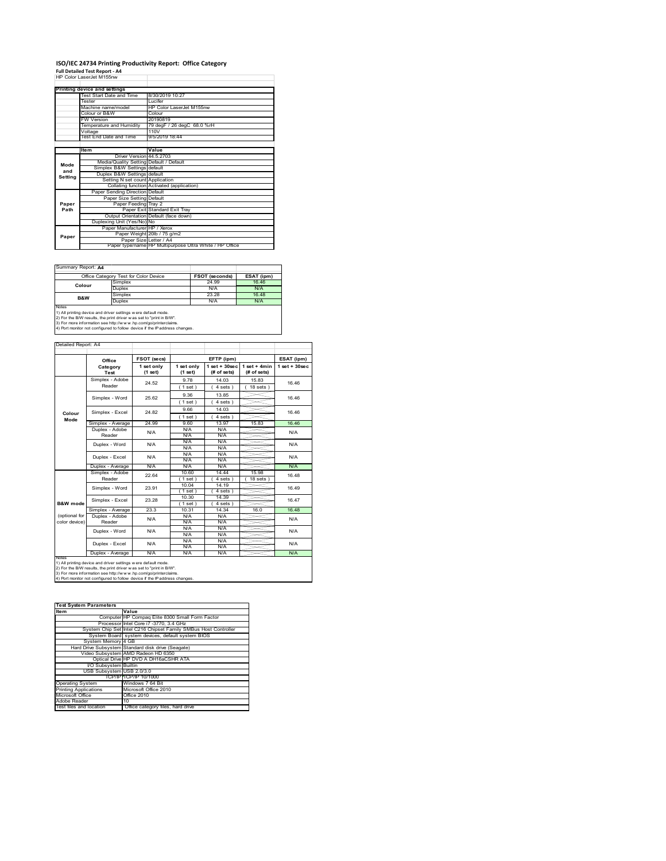#### **ISO/IEC 24734 Printing Productivity Report: Office Category Full Detailed Test Report ‐ A4** HP Color LaserJet M155nw

|         | HP Color Laser.let M155nw               |                                                         |
|---------|-----------------------------------------|---------------------------------------------------------|
|         | Printing device and settings            |                                                         |
|         | Test Start Date and Time                | 8/30/2019 10:27                                         |
|         | Tester                                  | Lucifer                                                 |
|         | Machine name/model                      | HP Color LaserJet M155nw                                |
|         | Colour or B&W                           | Colour                                                  |
|         | <b>FW Version</b>                       | 20190819                                                |
|         | Temperature and Humidity                | 79 degF / 26 degC 68.0 %rH                              |
|         | Voltage                                 | 110V                                                    |
|         | Test End Date and Time                  | 9/5/2019 18:44                                          |
|         |                                         |                                                         |
|         | <b>Item</b>                             | Value                                                   |
|         | Driver Version 44.5.2703                |                                                         |
|         | Media/Quality Setting Default / Default |                                                         |
| Mode    | Simplex B&W Settings default            |                                                         |
| and     | Duplex B&W Settings default             |                                                         |
| Setting | Setting N set count Application         |                                                         |
|         |                                         | Collating function Activated (application)              |
|         | Paper Sending Direction Default         |                                                         |
|         | Paper Size Setting Default              |                                                         |
| Paper   | Paper Feeding Tray 2                    |                                                         |
| Path    |                                         | Paper Exit Standard Exit Tray                           |
|         |                                         | Output Orientation Default (face down)                  |
|         | Duplexing Unit (Yes/No) No              |                                                         |
|         | Paper Manufacturer HP / Xerox           |                                                         |
| Paper   |                                         | Paper Weight 20lb / 75 g/m2                             |
|         | Paper Size Letter / A4                  |                                                         |
|         |                                         | Paper type/name HP Multipurpose Ultra White / HP Office |

Summary Report: **A4**

|                                                                                                                                                       | Office Category Test for Color Device | <b>FSOT (seconds)</b> | ESAT (ipm) |  |  |  |
|-------------------------------------------------------------------------------------------------------------------------------------------------------|---------------------------------------|-----------------------|------------|--|--|--|
| Colour                                                                                                                                                | Simplex                               | 24.99                 | 16.46      |  |  |  |
|                                                                                                                                                       | Duplex                                | N/A                   | N/A        |  |  |  |
| B&W                                                                                                                                                   | Simplex                               | 23 28                 | 16.48      |  |  |  |
|                                                                                                                                                       | Duplex                                | N/A                   | <b>N/A</b> |  |  |  |
| <b>Notes</b><br>1) All printing device and driver settings w ere default mode.<br>2) For the B/W results, the print driver was set to "print in B/W". |                                       |                       |            |  |  |  |

2) For the B/W results, the print driver w as set to "print in B/W".<br>3) For more information see http://w w w .hp.com/go/printerclaims.<br>4) Port monitor not configured to follow device if the IP address changes.

| Detailed Report: A4 |                                     |                         |                       |                                  |                               |                    |  |
|---------------------|-------------------------------------|-------------------------|-----------------------|----------------------------------|-------------------------------|--------------------|--|
|                     | Office                              | FSOT (secs)             |                       | EFTP (ipm)                       |                               | ESAT (ipm)         |  |
|                     | Category<br>Test                    | 1 set only<br>$(1$ set) | 1 set only<br>(1 set) | $1$ set $+30$ sec<br>(# of sets) | $1$ set + 4min<br>(# of sets) | $1$ set + $30$ sec |  |
|                     | Simplex - Adobe                     | 24.52                   | 9.78                  | 14 03                            | 15.83                         | 16.46              |  |
|                     | Reader                              |                         | 1 set)                | 4 sets)                          | $18$ sets $)$                 |                    |  |
|                     | Simplex - Word                      | 25.62                   | 9.36                  | 13.85                            |                               | 16.46              |  |
|                     |                                     |                         | 1 set)                | 4 sets)                          |                               |                    |  |
|                     | Simplex - Excel                     | 24 82                   | 9.66                  | 14 03                            |                               | 16.46              |  |
| Colour<br>Mode      |                                     |                         | 1 set)                | 4 sets)                          |                               |                    |  |
|                     | Simplex - Average                   | 24.99                   | 960                   | 13.97                            | 15.83                         | 16.46              |  |
|                     | Duplex - Adobe                      | N/A                     | N/A                   | N/A                              |                               | N/A                |  |
|                     | Reader                              |                         | N/A                   | N/A                              |                               |                    |  |
|                     | Duplex - Word                       | N/A                     | N/A                   | N/A                              |                               | N/A                |  |
|                     | Duplex - Excel                      | N/A                     | N/A<br>N/A            | N/A<br>N/A                       |                               | N/A                |  |
|                     |                                     |                         | N/A                   | N/A                              |                               |                    |  |
|                     | Duplex - Average                    | N/A                     | N/A                   | N/A                              |                               | N/A                |  |
|                     | Simplex - Adobe                     | 22.64                   | 10.60                 | 14.44                            | 15.98                         | 16.48              |  |
|                     | Reader                              |                         | $1$ set)              | 4 sets 1                         | 18 sets                       |                    |  |
|                     | Simplex - Word                      | 23.91                   | 10.04                 | 14 19                            |                               | 16.49              |  |
|                     |                                     |                         | (1 set)               | 4 sets)                          |                               |                    |  |
|                     | Simplex - Excel                     | 23 28<br>23.3           | 10.30                 | 14.39                            |                               | 16.47              |  |
| <b>B&amp;W</b> mode |                                     |                         | (1 set)<br>10.31      | $4 sets$ )<br>14 34              | 16.0                          | 16.48              |  |
| (optional for       | Simplex - Average<br>Duplex - Adobe |                         | N/A                   | N/A                              |                               |                    |  |
| color device)       | Reader                              | N/A                     | N/A                   | N/A                              |                               | N/A                |  |
|                     |                                     |                         | N/A                   | N/A                              |                               |                    |  |
|                     | Duplex - Word                       | N/A                     | N/A                   | N/A                              |                               | N/A                |  |
|                     | Duplex - Excel                      | N/A                     | N/A                   | N/A                              |                               | N/A                |  |
|                     |                                     |                         | N/A                   | N/A                              |                               |                    |  |
| <b>NOtes</b>        | Duplex - Average                    | N/A                     | N/A                   | N/A                              |                               | N/A                |  |

notes<br>1) All printing device and driver settings were default mode.<br>2) For the B/W results, the print driver was set to "print in B/W".<br>3) For more information see http://www.hp.com/go/printerclaims.<br>4) Por monitor not con

| <b>Test System Parameters</b> |                                                                 |  |  |  |
|-------------------------------|-----------------------------------------------------------------|--|--|--|
| Item                          | Value                                                           |  |  |  |
|                               | Computer HP Compag Elite 8300 Small Form Factor                 |  |  |  |
|                               | Processor Intel Core i7 -3770, 3.4 GHz                          |  |  |  |
|                               |                                                                 |  |  |  |
|                               | System Chip Set Intel C216 Chipset Family SMBus Host Controller |  |  |  |
|                               | System Board system devices, default system BIOS                |  |  |  |
| System Memory 4 GB            |                                                                 |  |  |  |
|                               | Hard Drive Subsystem Standard disk drive (Seagate)              |  |  |  |
|                               | Video Subsystem AMD Radeon HD 6350                              |  |  |  |
|                               | Optical Drive HP DVD A DH16aCSHR ATA                            |  |  |  |
| I/O Subsystem Builtin         |                                                                 |  |  |  |
| USB Subsystem USB 2.0/3.0     |                                                                 |  |  |  |
|                               | TCP/IP TCP/IP 10/1000                                           |  |  |  |
| <b>Operating System</b>       | Windows 7 64 Bit                                                |  |  |  |
| <b>Printing Applications</b>  | Microsoft Office 2010                                           |  |  |  |
| Microsoft Office              | Office 2010                                                     |  |  |  |
| Adobe Reader                  | 10                                                              |  |  |  |
| Test files and location       | Office category files, hard drive                               |  |  |  |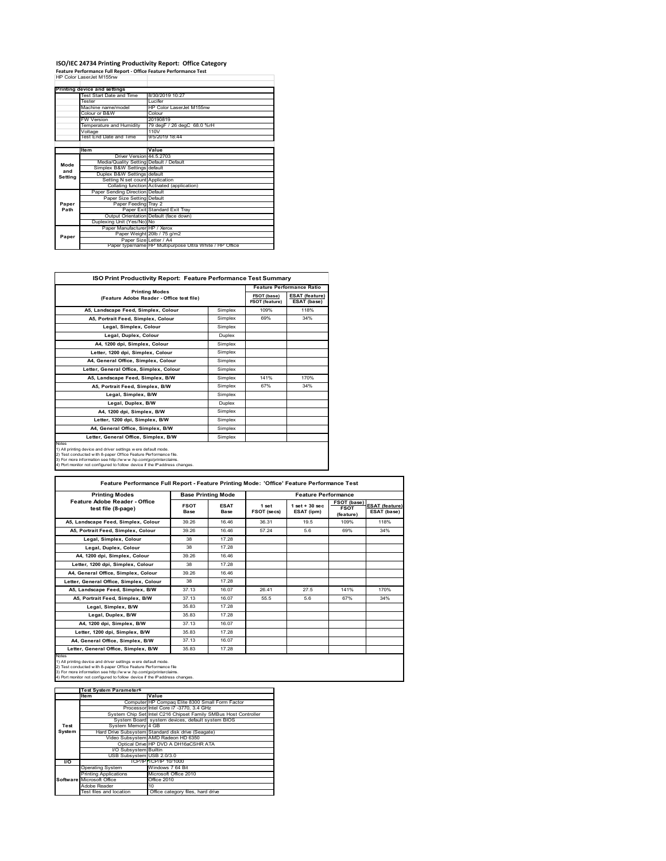## **ISO/IEC 24734 Printing Productivity Report: Office Category Feature Performance Full Report ‐ Office Feature Performance Test** HP Color LaserJet M155nw

|         | Printing device and settings            |                                                         |
|---------|-----------------------------------------|---------------------------------------------------------|
|         | Test Start Date and Time                | 8/30/2019 10:27                                         |
|         | Tester                                  | Lucifer                                                 |
|         | Machine name/model                      | HP Color Laser let M155nw                               |
|         | Colour or B&W                           | Colour                                                  |
|         | <b>FW Version</b>                       | 20190819                                                |
|         | Temperature and Humidity                | 79 degF / 26 degC 68.0 %rH                              |
|         | Voltage                                 | 110V                                                    |
|         | Test End Date and Time                  | 9/5/2019 18:44                                          |
|         |                                         |                                                         |
|         | ltem                                    | Value                                                   |
|         | Driver Version 44.5.2703                |                                                         |
| Mode    | Media/Quality Setting Default / Default |                                                         |
| and     | Simplex B&W Settings default            |                                                         |
| Setting | Duplex B&W Settings default             |                                                         |
|         | Setting N set count Application         |                                                         |
|         |                                         | Collating function Activated (application)              |
|         | Paper Sending Direction Default         |                                                         |
|         | Paper Size Setting Default              |                                                         |
| Paper   | Paper Feeding Tray 2                    |                                                         |
| Path    |                                         | Paper Exit Standard Exit Tray                           |
|         |                                         | Output Orientation Default (face down)                  |
|         | Duplexing Unit (Yes/No) No              |                                                         |
|         | Paper Manufacturer HP / Xerox           |                                                         |
| Paper   |                                         | Paper Weight 20lb / 75 g/m2                             |
|         | Paper Size Letter / A4                  |                                                         |
|         |                                         | Paper type/name HP Multipurpose Ultra White / HP Office |

٦

| ISO Print Productivity Report: Feature Performance Test Summary                                                                                                                                                                                                                             |               |                                      |                                      |  |  |
|---------------------------------------------------------------------------------------------------------------------------------------------------------------------------------------------------------------------------------------------------------------------------------------------|---------------|--------------------------------------|--------------------------------------|--|--|
| <b>Printing Modes</b>                                                                                                                                                                                                                                                                       |               |                                      | <b>Feature Performance Ratio</b>     |  |  |
| (Feature Adobe Reader - Office test file)                                                                                                                                                                                                                                                   |               | FSOT (base)<br><b>FSOT (feature)</b> | <b>ESAT (feature)</b><br>ESAT (base) |  |  |
| A5, Landscape Feed, Simplex, Colour                                                                                                                                                                                                                                                         | Simplex       | 109%                                 | 118%                                 |  |  |
| A5, Portrait Feed, Simplex, Colour                                                                                                                                                                                                                                                          | Simplex       | 69%                                  | 34%                                  |  |  |
| Legal, Simplex, Colour                                                                                                                                                                                                                                                                      | Simplex       |                                      |                                      |  |  |
| Legal, Duplex, Colour                                                                                                                                                                                                                                                                       | <b>Duplex</b> |                                      |                                      |  |  |
| A4, 1200 dpi, Simplex, Colour                                                                                                                                                                                                                                                               | Simplex       |                                      |                                      |  |  |
| Letter, 1200 dpi. Simplex, Colour                                                                                                                                                                                                                                                           | Simplex       |                                      |                                      |  |  |
| A4, General Office, Simplex, Colour                                                                                                                                                                                                                                                         | Simplex       |                                      |                                      |  |  |
| Letter, General Office, Simplex, Colour                                                                                                                                                                                                                                                     | Simplex       |                                      |                                      |  |  |
| A5, Landscape Feed, Simplex, B/W                                                                                                                                                                                                                                                            | Simplex       | 141%                                 | 170%                                 |  |  |
| A5, Portrait Feed, Simplex, B/W                                                                                                                                                                                                                                                             | Simplex       | 67%                                  | 34%                                  |  |  |
| Legal, Simplex, B/W                                                                                                                                                                                                                                                                         | Simplex       |                                      |                                      |  |  |
| Legal, Duplex, B/W                                                                                                                                                                                                                                                                          | <b>Duplex</b> |                                      |                                      |  |  |
| A4, 1200 dpi, Simplex, B/W                                                                                                                                                                                                                                                                  | Simplex       |                                      |                                      |  |  |
| Letter, 1200 dpi, Simplex, B/W                                                                                                                                                                                                                                                              | Simplex       |                                      |                                      |  |  |
| A4. General Office. Simplex. B/W                                                                                                                                                                                                                                                            | Simplex       |                                      |                                      |  |  |
| Letter, General Office, Simplex, B/W                                                                                                                                                                                                                                                        | Simplex       |                                      |                                      |  |  |
| Notes<br>1) All printing device and driver settings w ere default mode.<br>2) Test conducted with 8-paper Office Feature Performance file.<br>3) For more information see http://www.hp.com/go/printerclaims.<br>4) Port monitor not configured to follow device if the IP address changes. |               |                                      |                                      |  |  |

| <b>Printing Modes</b>                               |                            | <b>Base Printing Mode</b> |                      | <b>Feature Performance</b>       |                                         |                                      |  |
|-----------------------------------------------------|----------------------------|---------------------------|----------------------|----------------------------------|-----------------------------------------|--------------------------------------|--|
| Feature Adobe Reader - Office<br>test file (8-page) | <b>FSOT</b><br><b>Base</b> | <b>ESAT</b><br>Base       | 1 set<br>FSOT (secs) | $1$ set $+30$ sec.<br>ESAT (ipm) | FSOT (base)<br><b>FSOT</b><br>(feature) | <b>ESAT (feature)</b><br>ESAT (base) |  |
| A5, Landscape Feed, Simplex, Colour                 | 39.26                      | 16.46                     | 36.31                | 19.5                             | 109%                                    | 118%                                 |  |
| A5, Portrait Feed, Simplex, Colour                  | 39.26                      | 16.46                     | 57 24                | 56                               | 69%                                     | 34%                                  |  |
| Legal, Simplex, Colour                              | 38                         | 17.28                     |                      |                                  |                                         |                                      |  |
| Legal, Duplex, Colour                               | 38                         | 17.28                     |                      |                                  |                                         |                                      |  |
| A4, 1200 dpi, Simplex, Colour                       | 39.26                      | 16.46                     |                      |                                  |                                         |                                      |  |
| Letter, 1200 dpi, Simplex, Colour                   | 38                         | 17.28                     |                      |                                  |                                         |                                      |  |
| A4, General Office, Simplex, Colour                 | 39.26                      | 16.46                     |                      |                                  |                                         |                                      |  |
| Letter, General Office, Simplex, Colour             | 38                         | 17 28                     |                      |                                  |                                         |                                      |  |
| A5, Landscape Feed, Simplex, B/W                    | 37 13                      | 16.07                     | 26 41                | 27.5                             | 141%                                    | 170%                                 |  |
| A5. Portrait Feed. Simplex. B/W                     | 37 13                      | 16.07                     | 55.5                 | 56                               | 67%                                     | 34%                                  |  |
| Legal, Simplex, B/W                                 | 35.83                      | 17.28                     |                      |                                  |                                         |                                      |  |
| Legal, Duplex, B/W                                  | 3583                       | 17.28                     |                      |                                  |                                         |                                      |  |
| A4, 1200 dpi, Simplex, B/W                          | 37 13                      | 16.07                     |                      |                                  |                                         |                                      |  |
| Letter, 1200 dpi, Simplex, B/W                      | 35.83                      | 17.28                     |                      |                                  |                                         |                                      |  |
| A4. General Office. Simplex. B/W                    | 37.13                      | 16.07                     |                      |                                  |                                         |                                      |  |
| Letter, General Office, Simplex, B/W                | 35.83                      | 17.28                     |                      |                                  |                                         |                                      |  |

Notes<br>1) All printing device and driver settings were default mode.<br>2) Test conducted with 8-paper Office Feature Performance file<br>3) For more information see http://www.hp.com/go/printerclaims.<br>4) Por monitor not configur

|           | <b>Test System Parameters</b> |                                                                 |
|-----------|-------------------------------|-----------------------------------------------------------------|
|           | lte m                         | Value                                                           |
|           |                               | Computer HP Compaq Elite 8300 Small Form Factor                 |
|           |                               | Processor Intel Core i7 -3770, 3.4 GHz                          |
|           |                               | System Chip Set Intel C216 Chipset Family SMBus Host Controller |
|           |                               | System Board system devices, default system BIOS                |
| Test      | System Memory 4 GB            |                                                                 |
| System    |                               | Hard Drive Subsystem Standard disk drive (Seagate)              |
|           |                               | Video Subsystem AMD Radeon HD 6350                              |
|           |                               | Optical Drive HP DVD A DH16aCSHR ATA                            |
|           | I/O Subsystem Builtin         |                                                                 |
|           | USB Subsystem USB 2.0/3.0     |                                                                 |
| <b>VO</b> |                               | TCP/IPITCP/IP 10/1000                                           |
|           | <b>Operating System</b>       | Windows 7 64 Bit                                                |
|           | <b>Printing Applications</b>  | Microsoft Office 2010                                           |
|           | Software Microsoft Office     | Office 2010                                                     |
|           | Adobe Reader                  | 10                                                              |
|           | Test files and location       | Office category files, hard drive                               |
|           |                               |                                                                 |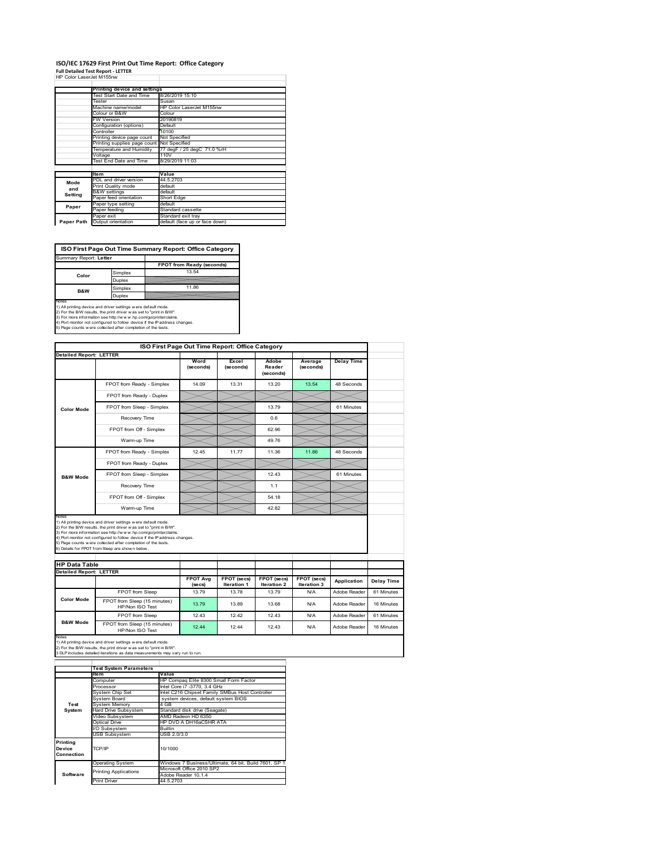## **ISO/IEC 17629 First Print Out Time Report: Office Category**

**Full Detailed Test Report ‐ LETTER** HP Color LaserJet M155nw

| FF \48\1   455\\FI IVI I;}} IIVV |                              |                                |  |  |  |
|----------------------------------|------------------------------|--------------------------------|--|--|--|
|                                  | Printing device and settings |                                |  |  |  |
|                                  | Test Start Date and Time     | 8/26/2019 15:10                |  |  |  |
|                                  | Tester                       | Susan                          |  |  |  |
|                                  | Machine name/model           | HP Color LaserJet M155nw       |  |  |  |
|                                  | Colour or B&W                | Colour                         |  |  |  |
|                                  | <b>FW Version</b>            | 20190819                       |  |  |  |
|                                  | Configuration (options)      | Default                        |  |  |  |
|                                  | Controller                   | 10100                          |  |  |  |
|                                  | Printing device page count   | Not Specified                  |  |  |  |
|                                  | Printing supplies page count | Not Specified                  |  |  |  |
|                                  | Temperature and Humidity     | 77 degF / 25 degC 71.0 %rH     |  |  |  |
|                                  | Voltage                      | 110V                           |  |  |  |
|                                  | Test End Date and Time       | 8/29/2019 11:03                |  |  |  |
|                                  |                              |                                |  |  |  |
|                                  | <b>Item</b>                  | Value                          |  |  |  |
| Mode                             | PDL and driver version       | 44.5.2703                      |  |  |  |
| and                              | Print Quality mode           | default                        |  |  |  |
| Setting                          | <b>B&amp;W</b> settings      | default                        |  |  |  |
|                                  | Paper feed orientation       | Short Edge                     |  |  |  |
| Paper                            | Paper type setting           | default                        |  |  |  |
|                                  | Paper feeding                | Standard cassette              |  |  |  |
|                                  | Paper exit                   | Standard exit tray             |  |  |  |
| Paper Path                       | Output orientation           | default (face up or face down) |  |  |  |

**ISO First Page Out Time Summary Report: Office Category**

| Summary Report: Letter                                                                                                                                                                                            |               |                                                                            |
|-------------------------------------------------------------------------------------------------------------------------------------------------------------------------------------------------------------------|---------------|----------------------------------------------------------------------------|
|                                                                                                                                                                                                                   |               | FPOT from Ready (seconds)                                                  |
| Color                                                                                                                                                                                                             | Simplex       | 13.54                                                                      |
|                                                                                                                                                                                                                   | Duplex        |                                                                            |
| <b>B&amp;W</b>                                                                                                                                                                                                    | Simplex       | 11.86                                                                      |
|                                                                                                                                                                                                                   | <b>Duplex</b> |                                                                            |
| Notes<br>1) All printing device and driver settings w ere default mode.<br>2) For the B/W results, the print driver was set to "print in B/W".<br>3) For more information see http://www.hp.com/go/printerclaims. |               | 4) Port monitor not configured to follow device if the IP address changes. |
| 5) Page counts w ere collected after completion of the tests.                                                                                                                                                     |               |                                                                            |

| ISO First Page Out Time Report: Office Category |                                                                                                                                                                                                                                                                                                                                                                                                             |                            |                                   |                              |                            |                   |
|-------------------------------------------------|-------------------------------------------------------------------------------------------------------------------------------------------------------------------------------------------------------------------------------------------------------------------------------------------------------------------------------------------------------------------------------------------------------------|----------------------------|-----------------------------------|------------------------------|----------------------------|-------------------|
| <b>Detailed Report: LETTER</b>                  |                                                                                                                                                                                                                                                                                                                                                                                                             |                            |                                   |                              |                            |                   |
|                                                 |                                                                                                                                                                                                                                                                                                                                                                                                             | Word<br>(seconds)          | Excel<br>(seconds)                | Adobe<br>Reader<br>(seconds) | Average<br>(seconds)       | <b>Delay Time</b> |
|                                                 | FPOT from Ready - Simplex                                                                                                                                                                                                                                                                                                                                                                                   | 14.09                      | 13.31                             | 13.20                        | 13.54                      | 48 Seconds        |
|                                                 | FPOT from Ready - Duplex                                                                                                                                                                                                                                                                                                                                                                                    |                            |                                   |                              |                            |                   |
| <b>Color Mode</b>                               | FPOT from Sleep - Simplex                                                                                                                                                                                                                                                                                                                                                                                   |                            |                                   | 13.79                        |                            | 61 Minutes        |
|                                                 | Recovery Time                                                                                                                                                                                                                                                                                                                                                                                               |                            |                                   | 0.6                          |                            |                   |
|                                                 | FPOT from Off - Simplex                                                                                                                                                                                                                                                                                                                                                                                     |                            |                                   | 62.96                        |                            |                   |
|                                                 | Warm-up Time                                                                                                                                                                                                                                                                                                                                                                                                |                            |                                   | 49.76                        |                            |                   |
|                                                 | FPOT from Ready - Simplex                                                                                                                                                                                                                                                                                                                                                                                   | 12.45                      | 11.77                             | 11.36                        | 11.86                      | 48 Seconds        |
|                                                 | FPOT from Ready - Duplex                                                                                                                                                                                                                                                                                                                                                                                    |                            |                                   |                              |                            |                   |
| <b>B&amp;W Mode</b>                             | FPOT from Sleep - Simplex                                                                                                                                                                                                                                                                                                                                                                                   |                            |                                   | 12.43                        |                            | 61 Minutes        |
|                                                 |                                                                                                                                                                                                                                                                                                                                                                                                             |                            |                                   |                              |                            |                   |
|                                                 | Recovery Time                                                                                                                                                                                                                                                                                                                                                                                               |                            |                                   | 1.1                          |                            |                   |
|                                                 | FPOT from Off - Simplex                                                                                                                                                                                                                                                                                                                                                                                     |                            |                                   | 54 18                        |                            |                   |
| Notes                                           | Warm-up Time                                                                                                                                                                                                                                                                                                                                                                                                |                            |                                   | 42.82                        |                            |                   |
|                                                 | 1) All printing device and driver settings w ere default mode.<br>2) For the B/W results, the print driver was set to "print in B/W".<br>3) For more information see http://www.hp.com/go/printerclaims.<br>4) Port monitor not configured to follow device if the IP address changes.<br>5) Page counts w ere collected after completion of the tests.<br>6) Details for FPOT from Sleep are show n below. |                            |                                   |                              |                            |                   |
| <b>HP Data Table</b>                            |                                                                                                                                                                                                                                                                                                                                                                                                             |                            |                                   |                              |                            |                   |
| <b>Detailed Report: LETTER</b>                  |                                                                                                                                                                                                                                                                                                                                                                                                             | <b>FPOT Avg</b><br>(se cs) | FPOT (secs)<br><b>Iteration 1</b> | FPOT (secs)<br>Iteration 2   | FPOT (secs)<br>Iteration 3 | Application       |
|                                                 | FPOT from Sleep                                                                                                                                                                                                                                                                                                                                                                                             | 1379                       | 13 78                             | 13 79                        | N/A                        | Adobe Reader      |
| <b>Color Mode</b>                               | FPOT from Sleep (15 minutes)<br>HP/Non ISO Test                                                                                                                                                                                                                                                                                                                                                             | 13.79                      | 13.89                             | 13.68                        | N/A                        | Adobe Reader      |
| <b>B&amp;W Mode</b>                             | FPOT from Sleep                                                                                                                                                                                                                                                                                                                                                                                             | 12.43                      | 12.42                             | 12.43                        | N/A                        | Adobe Reader      |

Notes<br>1) All printing device and driver settings w ere default mode.<br>2) For the B/W results, the print driver w as set to "print in B/W".<br>3 DLP includes detailed iterations as data measurements may vary run to run.

|                                  | <b>Test System Parameters</b> |                                                       |  |  |  |
|----------------------------------|-------------------------------|-------------------------------------------------------|--|--|--|
|                                  | <b>Item</b>                   | Value                                                 |  |  |  |
|                                  | Computer                      | HP Compaq Elite 8300 Small Form Factor                |  |  |  |
|                                  | Processor                     | Intel Core i7 -3770, 3.4 GHz                          |  |  |  |
|                                  | System Chip Set               | Intel C216 Chipset Family SMBus Host Controller       |  |  |  |
|                                  | System Board                  | system devices, default system BIOS                   |  |  |  |
| Test                             | <b>System Memory</b>          | 4 GB                                                  |  |  |  |
| System                           | Hard Drive Subsystem          | Standard disk drive (Seagate)                         |  |  |  |
|                                  | Video Subsystem               | AMD Radeon HD 6350                                    |  |  |  |
|                                  | Optical Drive                 | HP DVD A DH16aCSHR ATA                                |  |  |  |
|                                  | I/O Subsystem                 | <b>Builtin</b>                                        |  |  |  |
|                                  | <b>USB Subsystem</b>          | USB 2.0/3.0                                           |  |  |  |
| Printing<br>Device<br>Connection | TCP/IP                        | 10/1000                                               |  |  |  |
|                                  | <b>Operating System</b>       | Windows 7 Business/Ultimate, 64 bit, Build 7601, SP 1 |  |  |  |
|                                  | <b>Printing Applications</b>  | Microsoft Office 2010 SP2                             |  |  |  |
| Software                         |                               | Adobe Reader 10.1.4                                   |  |  |  |
|                                  | Print Driver                  | 44.5.2703                                             |  |  |  |